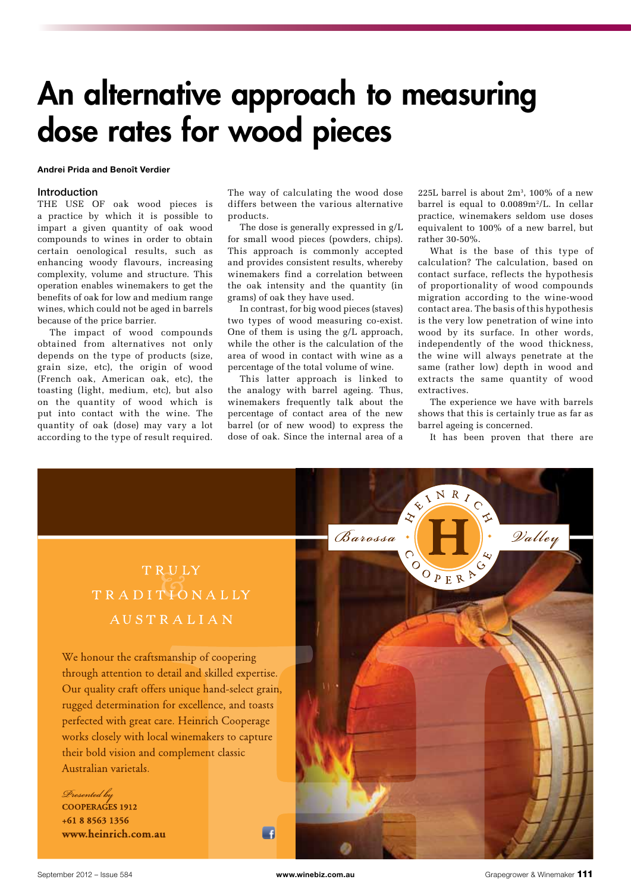# An alternative approach to measuring dose rates for wood pieces

#### Andrei Prida and Benoît Verdier

#### Introduction

THE USE OF oak wood pieces is a practice by which it is possible to impart a given quantity of oak wood compounds to wines in order to obtain certain oenological results, such as enhancing woody flavours, increasing complexity, volume and structure. This operation enables winemakers to get the benefits of oak for low and medium range wines, which could not be aged in barrels because of the price barrier.

 $\frac{1}{2}$ The impact of wood compounds obtained from alternatives not only depends on the type of products (size, grain size, etc), the origin of wood (French oak, American oak, etc), the toasting (light, medium, etc), but also on the quantity of wood which is put into contact with the wine. The quantity of oak (dose) may vary a lot according to the type of result required.

The way of calculating the wood dose differs between the various alternative products.

The dose is generally expressed in g/L for small wood pieces (powders, chips). This approach is commonly accepted and provides consistent results, whereby winemakers find a correlation between the oak intensity and the quantity (in grams) of oak they have used.

In contrast, for big wood pieces (staves) two types of wood measuring co-exist. One of them is using the g/L approach, while the other is the calculation of the area of wood in contact with wine as a percentage of the total volume of wine.

This latter approach is linked to the analogy with barrel ageing. Thus, winemakers frequently talk about the percentage of contact area of the new barrel (or of new wood) to express the dose of oak. Since the internal area of a

225L barrel is about  $2m^3$ , 100% of a new barrel is equal to  $0.0089m^2/L$ . In cellar practice, winemakers seldom use doses equivalent to 100% of a new barrel, but rather 30-50%.

What is the base of this type of calculation? The calculation, based on contact surface, reflects the hypothesis of proportionality of wood compounds migration according to the wine-wood contact area. The basis of this hypothesis is the very low penetration of wine into wood by its surface. In other words, independently of the wood thickness, the wine will always penetrate at the same (rather low) depth in wood and extracts the same quantity of wood extractives.

The experience we have with barrels shows that this is certainly true as far as barrel ageing is concerned.

It has been proven that there are

## TRULY TRADITIONALLY AUSTRALIAN

We honour the craftsmanship of coopering through attention to detail and skilled expertise. Our quality craft offers unique hand-select grain, rugged determination for excellence, and toasts perfected with great care. Heinrich Cooperage works closely with local winemakers to capture their bold vision and complement classic Australian varietals.

Presented by COOPERAGES 1912

 $+61885631356$ www.heinrich.com.au



 $\overline{\phantom{a}}$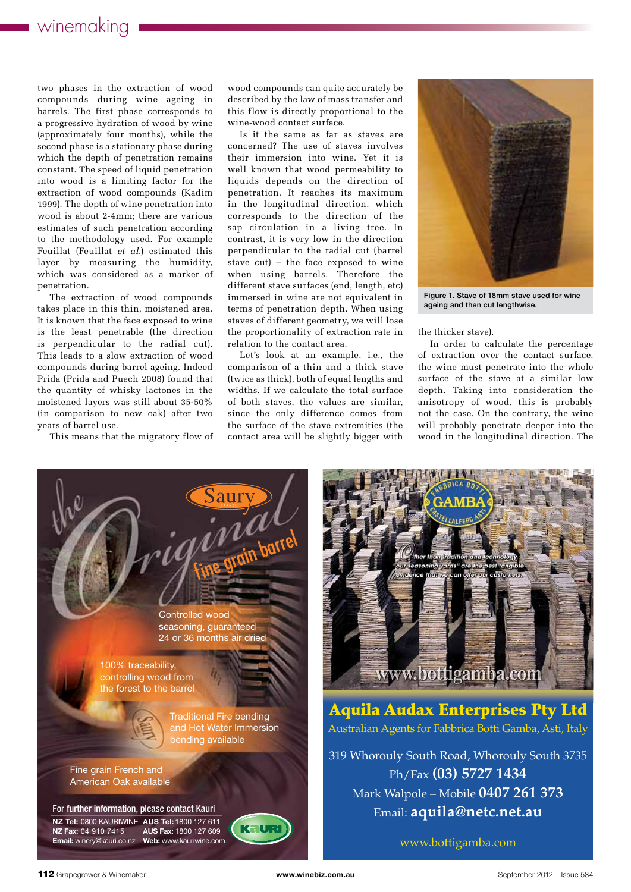two phases in the extraction of wood compounds during wine ageing in barrels. The first phase corresponds to a progressive hydration of wood by wine (approximately four months), while the second phase is a stationary phase during which the depth of penetration remains constant. The speed of liquid penetration into wood is a limiting factor for the extraction of wood compounds (Kadim 1999). The depth of wine penetration into wood is about 2-4mm; there are various estimates of such penetration according to the methodology used. For example Feuillat (Feuillat *et al*.) estimated this layer by measuring the humidity, which was considered as a marker of penetration.

The extraction of wood compounds takes place in this thin, moistened area. It is known that the face exposed to wine is the least penetrable (the direction is perpendicular to the radial cut). This leads to a slow extraction of wood compounds during barrel ageing. Indeed Prida (Prida and Puech 2008) found that the quantity of whisky lactones in the moistened layers was still about 35-50% (in comparison to new oak) after two years of barrel use.

This means that the migratory flow of

wood compounds can quite accurately be described by the law of mass transfer and this flow is directly proportional to the wine-wood contact surface.

Is it the same as far as staves are concerned? The use of staves involves their immersion into wine. Yet it is well known that wood permeability to liquids depends on the direction of penetration. It reaches its maximum in the longitudinal direction, which corresponds to the direction of the sap circulation in a living tree. In contrast, it is very low in the direction perpendicular to the radial cut (barrel stave cut) – the face exposed to wine when using barrels. Therefore the different stave surfaces (end, length, etc) immersed in wine are not equivalent in terms of penetration depth. When using staves of different geometry, we will lose the proportionality of extraction rate in relation to the contact area.

Let's look at an example, i.e., the comparison of a thin and a thick stave (twice as thick), both of equal lengths and widths. If we calculate the total surface of both staves, the values are similar, since the only difference comes from the surface of the stave extremities (the contact area will be slightly bigger with



Figure 1. Stave of 18mm stave used for wine ageing and then cut lengthwise.

the thicker stave).

In order to calculate the percentage of extraction over the contact surface, the wine must penetrate into the whole surface of the stave at a similar low depth. Taking into consideration the anisotropy of wood, this is probably not the case. On the contrary, the wine will probably penetrate deeper into the wood in the longitudinal direction. The





Aquila Audax Enterprises Pty Ltd Australian Agents for Fabbrica Botti Gamba, Asti, Italy

319 Whorouly South Road, Whorouly South 3735 Ph/Fax **(03) 5727 1434** Mark Walpole – Mobile **0407 261 373** Email: **aquila@netc.net.au**

www.bottigamba.com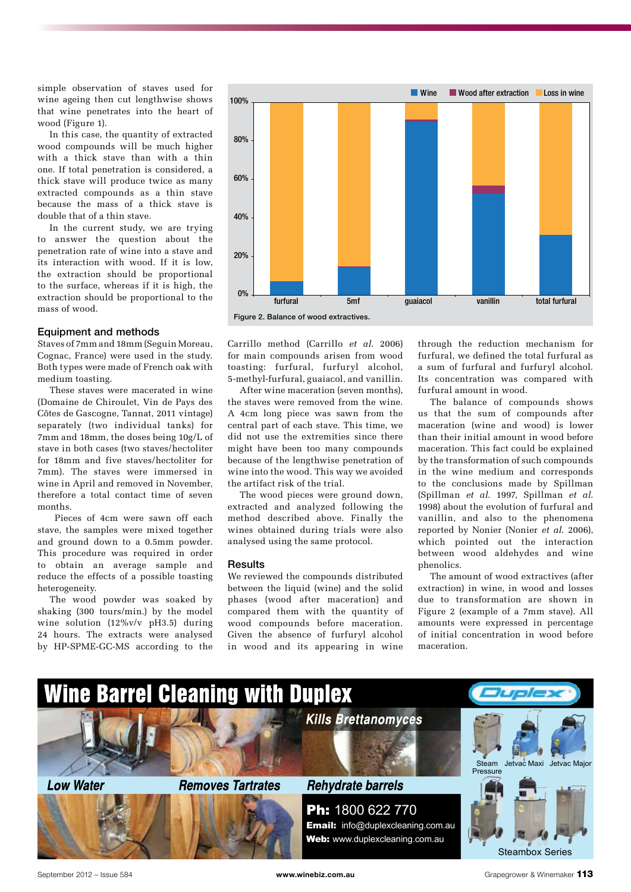simple observation of staves used for wine ageing then cut lengthwise shows that wine penetrates into the heart of wood (Figure 1).

In this case, the quantity of extracted wood compounds will be much higher with a thick stave than with a thin one. If total penetration is considered, a thick stave will produce twice as many extracted compounds as a thin stave because the mass of a thick stave is double that of a thin stave.

In the current study, we are trying to answer the question about the penetration rate of wine into a stave and its interaction with wood. If it is low, the extraction should be proportional to the surface, whereas if it is high, the extraction should be proportional to the mass of wood.

#### Equipment and methods

Staves of 7mm and 18mm (Seguin Moreau, Cognac, France) were used in the study. Both types were made of French oak with medium toasting.

These staves were macerated in wine (Domaine de Chiroulet, Vin de Pays des Côtes de Gascogne, Tannat, 2011 vintage) separately (two individual tanks) for 7mm and 18mm, the doses being 10g/L of stave in both cases (two staves/hectoliter for 18mm and five staves/hectoliter for 7mm). The staves were immersed in wine in April and removed in November, therefore a total contact time of seven months.

 Pieces of 4cm were sawn off each stave, the samples were mixed together and ground down to a 0.5mm powder. This procedure was required in order to obtain an average sample and reduce the effects of a possible toasting heterogeneity.

The wood powder was soaked by shaking (300 tours/min.) by the model wine solution (12%v/v pH3.5) during 24 hours. The extracts were analysed by HP-SPME-GC-MS according to the



Figure 2. Balance of wood extractives.

Carrillo method (Carrillo *et al*. 2006) for main compounds arisen from wood toasting: furfural, furfuryl alcohol, 5-methyl-furfural, guaiacol, and vanillin.

After wine maceration (seven months), the staves were removed from the wine. A 4cm long piece was sawn from the central part of each stave. This time, we did not use the extremities since there might have been too many compounds because of the lengthwise penetration of wine into the wood. This way we avoided the artifact risk of the trial.

The wood pieces were ground down, extracted and analyzed following the method described above. Finally the wines obtained during trials were also analysed using the same protocol.

#### **Results**

We reviewed the compounds distributed between the liquid (wine) and the solid phases (wood after maceration) and compared them with the quantity of wood compounds before maceration. Given the absence of furfuryl alcohol in wood and its appearing in wine

through the reduction mechanism for furfural, we defined the total furfural as a sum of furfural and furfuryl alcohol. Its concentration was compared with furfural amount in wood.

The balance of compounds shows us that the sum of compounds after maceration (wine and wood) is lower than their initial amount in wood before maceration. This fact could be explained by the transformation of such compounds in the wine medium and corresponds to the conclusions made by Spillman (Spillman *et al*. 1997, Spillman *et al*. 1998) about the evolution of furfural and vanillin, and also to the phenomena reported by Nonier (Nonier *et al*. 2006), which pointed out the interaction between wood aldehydes and wine phenolics.

The amount of wood extractives (after extraction) in wine, in wood and losses due to transformation are shown in Figure 2 (example of a 7mm stave). All amounts were expressed in percentage of initial concentration in wood before maceration.